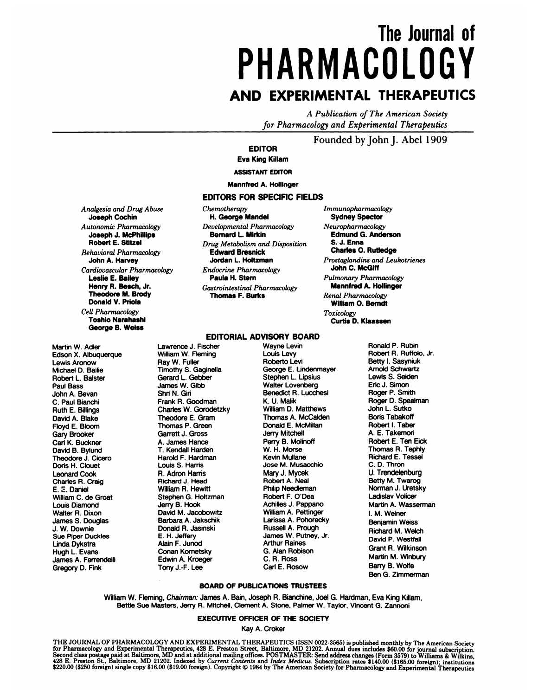# **The Journalof PHARMACOLOGY AND EXPERIMENTAL THERAPEUTICS**

*A Publication of The American Society for Pharmacology and Experimental Therapeutics*

### **Founded by John** J. **Abel 1909**

**EDITOR**

**Eva King Killam**

**ASSISTANT** EDITOR

**Mannfred A. Hollinger**

### **EDITORS FOR SPECIFIC FIELDS**

*Anaigesia and Drug Abuse* Joseph Cochin *Autonomic Pharmacology* **Joseph J. McPhlllips** Robert **E. Stftzel Behavioral** *Pharmacology* **John A. Harvey Cardiovascular** *Pharmacology* **Leslie E. Bailey** Henry R. Beech, **Jr. Theodore M. Brody** Donald V.Priola **Cell** *Pharmacology* **Toshlo Narahashi** George **B. Weiss**

**Martin W.** Adler **Edson X. Albuquerque Lewis** Aronow **Michael D. Bailie Robert L. Baister Paul Bass John A.** Bevan **C. Paul Bianchi** Ruth **E. Billings David A. Blake Floyd E.** Bloom Gary Brooker Carl K. Buckner David B. Bylund Theodore **J.** Cicero Doris H. Clouet Leonard Cook Charles **A.** Craig **E. 2.** Daniel **William C. de Groat Louis Diamond** Wafter **A. Dixon James S. Douglas J. W. Downie** Sue **Piper Duckles** Linda Dykstra Hugh L. Evans James A. Ferrendelli Gregory D. **Fink**

*Chemotherapy* **H. George Mandel** *Developmental Pharmacology* Bernard **L Mirkin** *Drug Metabolism and Disposition* **Edward Bresnick Jordan L** Holtzman *Endocrine Pharmacology* **Paula H. Stem** *Gastrointestinal Pharmacology* **Thomas F.Burke**

*Immunopharmacology* **Sydney Spector** *Neuropharrnacology* **Edmund G. Anderson S. J. Enna Charles 0.** Rutledge *Prostaglandins and Leukotrienes* John C. McGiff *Pulmonary Pharmacology* Mannfred A. Hollinger *Renal Pharmacology* **William 0. Bemdt** *Toxicology* Curtis D. Klaassen

#### **EDITORIAL ADVISORY BOARD**

Lawrence **J. Fischer Wayne Levin** William W. Fleming **Louis Levy Ray W. Fuller Roberto Levi Timothy S. Gaginella** Gerard **L. Gebber Stephen L. Lipsius James W.Gibb** Walter **Lovenberg Frank A.** Goodman **K. U. Malik**  $Charles$  **W.** Gorodetzky Theodore **E. Gram Thomas A.** McCalden **Garrett J. Gross Servery Mitchell A. James Hance Server S. Molin T.** Kendall Harden W. H. Morse<br>Harold F. Hardman **W. Kevin Mullane Harold F. Hardman Louis S. Hams Jose M.** Musacchio **A. Adron Harris Mary J. Mycek** Aichard **J.** Head Aobert **A. Neal William A. Hewitt Philip** Needleman **Stephen G. Holtzman**<br>**Jerry B. Hook David M. Jacobowitz**<br>**Barbara A. Jakschik Donald R. Jasinski**<br>**E. H. Jeffery** Alain **F. Junod Arthur** Raines **Conan** Kometsky **Edwin A. Kroeger C. A.** Ross **Tony** J.-F. Lee

**Shn N. Gin Benedict A.** Lucchesi **Thomas P. Green Donald E. McMiIlan Perry B. Molinoff**<br>W. H. Morse **Achilles J. Pappano**<br>William A. Pettinger Larissa A. Pohorecky<br>Russell A. Prough **E. H. Jeffery** James **W. Putney, Jr.** Ronald P. Aubin Aobert A. RUffOIO, **Jr.** Betty **I.** Sasyniuk Arnold Schwartz Lewis S. Seiden Eric J. Simon Roger P. Smith Roger D. Spealman John L. Sutko Boris Tabakoff Robert **I.** Taber **A. E.** Takemon Robert E. Ten Eick Thomas A. Tephly Richard **E.**Tessel **C. D.** Thron **U.** Trendelenburg Betty M. Twarog Norman **J.** Uretsky Ladislav Volicer Martin A. Wasserman **I. M.** Weiner Benjamin Weiss Richard M. Welch David P. Westfall **Grant A.** Wilkinson Martin **M. Winbury** Barry B.Wolfe Ben G. Zimmerman

#### **BOARD OF PUBLICATIONS** TRUSTEES

**William W.** Fleming, **Chairman:** James A. Barn, Joseph A. Bianchine, Joel G. Hardman, **Eva King Killam,** Bettle Sue Masters, Jerry **A.** Mitchell, Clement A. Stone, Palmer W. Taylor, Vincent G. Zannoni

### **EXECUTIVE OFFICER OF ThE** SOCIETY

**Kay A.** Croker

THE JOURNAL OF PHARMACOLOGY AND EXPERIMENTAL THERAPEUTICS (ISSN 0022-3565) is published monthly by The American Society<br>Gor Pharmacology and Experimental Therapeutics, 428 E. Preston Street, Baltimore, MD 21202. Annual due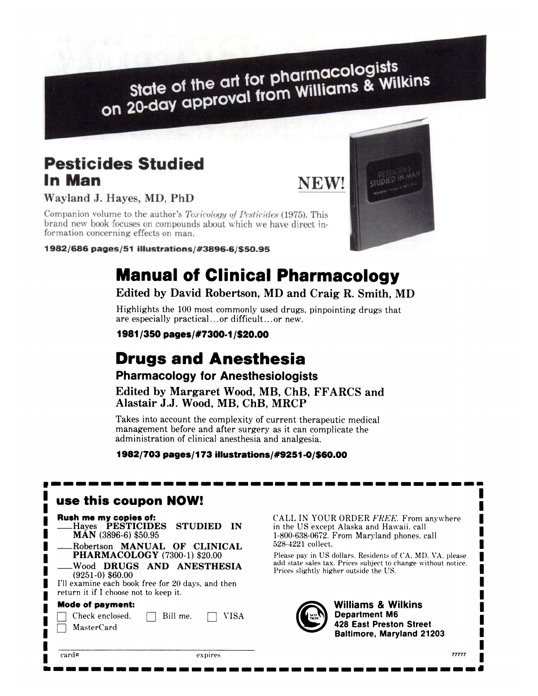State of the art for pharmacologists<br>state of the art for pharmacologists State of the art for pharmacologists<br>on 20-day approval from Williams & Wilkins

## **Pesticides Studied** In Man

Wayland J. Hayes, MD, PhD

Companion volume to the author's *Toxicology of Pesticides* (1975). This brand new book focuses on compounds about which we have direct information concerning effects on man.

1982/686 pages/51 illustrations/#3896-6/\$50.95



# **Manual of Clinical Pharmacology**

## **Edited by David Robertson, MD and Craig R. Smith, MD**

Highlights the 100 most commonly used drugs, pinpointing drugs that are especially practical...or difficult...or new.

**1981/350 pages/#73001 /\$20.00**

# **Drugs and Anesthesia**

**Pharmacology for Anesthesiologists** 

**Edited by Margaret Wood, MB, ChB, FFARCS and Alastair J.J. Wood, MB, ChB, MRCP**

Takes into account the complexity of current therapeutic medical management before and after surgery as it can complicate the administration of clinical anesthesia and analgesia.

**1982/703 pages/I 73 illustrations/#9251 -0/\$60.00**

| use this coupon NOW!                                                                                                                                                                  |                                                                                                                                                                                                                                                                                                                               |  |
|---------------------------------------------------------------------------------------------------------------------------------------------------------------------------------------|-------------------------------------------------------------------------------------------------------------------------------------------------------------------------------------------------------------------------------------------------------------------------------------------------------------------------------|--|
| Rush me my copies of:<br>Hayes <b>PESTICIDES</b><br><b>STUDIED</b><br>-IN<br>$MAN$ (3896-6) \$50.95<br>Robertson <b>MANUAL</b> OF<br><b>CLINICAL</b>                                  | CALL IN YOUR ORDER FREE. From anywhere<br>in the US except Alaska and Hawaii, call<br>1-800-638-0672. From Maryland phones, call<br>528-4221 collect.<br>Please pay in US dollars. Residents of CA, MD, VA, please<br>add state sales tax. Prices subject to change without notice.<br>Prices slightly higher outside the US. |  |
| <b>PHARMACOLOGY</b> (7300-1) \$20.00<br>Wood DRUGS AND ANESTHESIA<br>$(9251-0)$ \$60.00<br>I'll examine each book free for 20 days, and then<br>return it if I choose not to keep it. |                                                                                                                                                                                                                                                                                                                               |  |
| <b>Mode of payment:</b><br>Check enclosed.<br>VISA<br>Bill me.<br>MasterCard                                                                                                          | <b>Williams &amp; Wilkins</b><br><b>Department M6</b><br>TACHE<br><b>428 East Preston Street</b><br><b>Baltimore, Maryland 21203</b>                                                                                                                                                                                          |  |
| card#<br>expires                                                                                                                                                                      | 77777                                                                                                                                                                                                                                                                                                                         |  |



*- - - - - - - - - - - - - - - - - - - - - - - - - - - - - - - - - - -*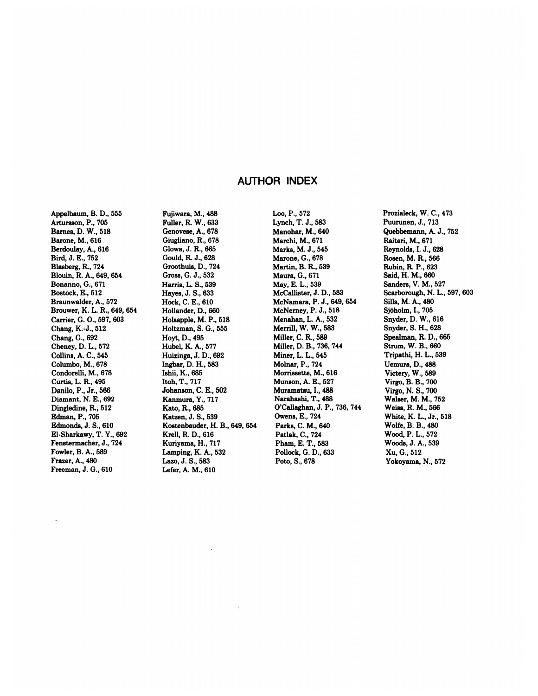### **AUTHOR INDEX**

Appelbaum, B. D., 555 Artursson, P., 705 Barnes, D. W., 518 Barone, M., 616 Berdoulay, A., 616 Bird, **J.** E., 752 Blasberg, R., 724 Blouin, R. A., 649,654 Bonanno, G., 671 Bostock, E., 512 Braunwalder, A., 572 Brouwer, K. L. R., 649, 654 Carrier, G. **0., 597,** 603 **Chang, K.-J., 512** Chang, **G.,** 692 **Cheney, D. L., 572** Collins, A. C., 545 Columbo, M., 678 Condorelli, M., 678 Curtis, L. R., 495 Danilo, P., Jr., 566 Diamant, N. E., 692 Dingledine, **R.,** 512 Edman, P., 705 Edmonds, **J. S., 610** El-Sharkawy, T. Y., 692 Fenstermacher, **J., 724** Fowler, B. A., 589 Frazer, A., 480 Freeman, J. G., 610

Fujiwara, M., 488 Fuller, R. W., 633 Genovese, A., 678 Giugliano, R., 678 **Glowa, J. R., 665** Gould, R. **J.,** 628 Groothuia, D., 724 Gross, G. J., 532 Harris, L. S., **539** Hayes, **J. S.,** 633 Hock, C. E., 610 Hollander, D., 660 Holsapple, M. P., 518 Holtzman, S. G., 555 Hoyt, D., 495 Hubel, K. A., 577 Huizinga, J. D., 692 Ingbar, D. H., 583 Ishii, K., 685 Itoh, T., 717 Johanson, C. E., 502 Kanmura, Y., 717 Kato, R., 685 Katzen, J. S., 539 **Kostenbauder, H. B.,** 649, 654 Krell, R. D., 616 Kuriyama, H., 717 Lamping, K. A., 532 Lazo, J. S., 583 Lefer, A. M., 610

Leo, **P., 572** Lynch, T. **J., 583** Manohar, M., 640 Marchi, M., 671 **Marks, M. J.,** 545 Marone, G., 678 Martin, B. R., 539 **Maura, G., 671 May, E. L., 539** McCallister, **J. D., 583 McNamara, P. J.,** 649,654 **McNerney, P. J.,** 518 Menahan, L. A., 532 Merrill, W. W., 583 **Miller, C. R., 589** Miller, D. B., 736, 744 **Miner, L. L.,** 545 Molnar, P., 724 Morriasette, M., 616 Munson, A. E., 527 Muramatsu, I., 488 Narahashi, T., 488 O'Callaghan, **J. P., 736,744** Owens, E., 724 **Parks, C. M., 640** Patlak, C., 724 Pham, E. T., 583 Pollock, G. D., 633 **Pots, S., 678**

Prozialeck, W. **C., 473** Puurunen, **J., 713** Quebbemann, A. **J., 752** Raiteri, M., 671 Reynolds, **I. J.,** 628 Rosen, M. R., 566 Rubin, R. **P., 623** Said, H. M., 660 Sanders, V. M., 527 Scarborough, N. L., 597, 603 Sills, M. A., 480 Sjöholm, I., 705 Snyder, D. W., 616 **Snyder, S. H.,** 628 Spealman, R. D., 665 Strum, W. B., 660 Tripathi, H. L., 539 Uemura, D., 488 Victery, W., 589 Virgo, B. B., 700 Virgo, N. S., 700 Walser, M. M., 752 **Weiss, R M., 566 White, K. L., Jr., 518 Wolfe, B. B., 480** Wood, P. L., 572 Woods, J. A., 539 **Xu, G., 512** Yokoyama, N., 572